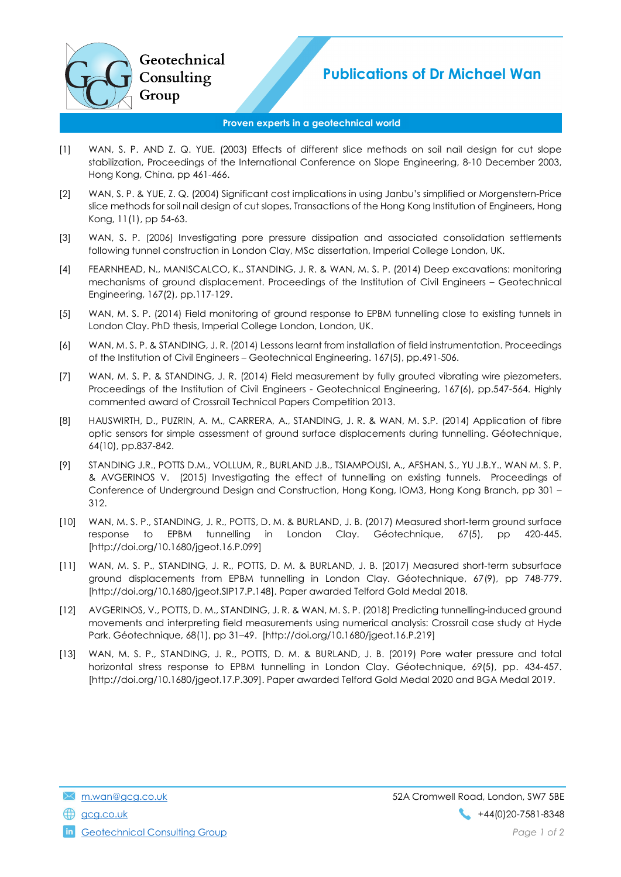

## Proven experts in a geotechnical world

- [1] WAN, S. P. AND Z. Q. YUE. (2003) Effects of different slice methods on soil nail design for cut slope stabilization, Proceedings of the International Conference on Slope Engineering, 8-10 December 2003, Hong Kong, China, pp 461-466.
- [2] WAN, S. P. & YUE, Z. Q. (2004) Significant cost implications in using Janbu's simplified or Morgenstern-Price slice methods for soil nail design of cut slopes, Transactions of the Hong Kong Institution of Engineers, Hong Kong, 11(1), pp 54-63.
- [3] WAN, S. P. (2006) Investigating pore pressure dissipation and associated consolidation settlements following tunnel construction in London Clay, MSc dissertation, Imperial College London, UK.
- [4] FEARNHEAD, N., MANISCALCO, K., STANDING, J. R. & WAN, M. S. P. (2014) Deep excavations: monitoring mechanisms of ground displacement. Proceedings of the Institution of Civil Engineers – Geotechnical Engineering, 167(2), pp.117-129.
- [5] WAN, M. S. P. (2014) Field monitoring of ground response to EPBM tunnelling close to existing tunnels in London Clay. PhD thesis, Imperial College London, London, UK.
- [6] WAN, M. S. P. & STANDING, J. R. (2014) Lessons learnt from installation of field instrumentation. Proceedings of the Institution of Civil Engineers – Geotechnical Engineering. 167(5), pp.491-506.
- [7] WAN, M. S. P. & STANDING, J. R. (2014) Field measurement by fully grouted vibrating wire piezometers. Proceedings of the Institution of Civil Engineers - Geotechnical Engineering, 167(6), pp.547-564. Highly commented award of Crossrail Technical Papers Competition 2013.
- [8] HAUSWIRTH, D., PUZRIN, A. M., CARRERA, A., STANDING, J. R. & WAN, M. S.P. (2014) Application of fibre optic sensors for simple assessment of ground surface displacements during tunnelling. Géotechnique, 64(10), pp.837-842.
- [9] STANDING J.R., POTTS D.M., VOLLUM, R., BURLAND J.B., TSIAMPOUSI, A., AFSHAN, S., YU J.B.Y., WAN M. S. P. & AVGERINOS V. (2015) Investigating the effect of tunnelling on existing tunnels. Proceedings of Conference of Underground Design and Construction, Hong Kong, IOM3, Hong Kong Branch, pp 301 – 312.
- [10] WAN, M. S. P., STANDING, J. R., POTTS, D. M. & BURLAND, J. B. (2017) Measured short-term ground surface response to EPBM tunnelling in London Clay. Géotechnique, 67(5), pp 420-445. [http://doi.org/10.1680/jgeot.16.P.099]
- [11] WAN, M. S. P., STANDING, J. R., POTTS, D. M. & BURLAND, J. B. (2017) Measured short-term subsurface ground displacements from EPBM tunnelling in London Clay. Géotechnique, 67(9), pp 748-779. [http://doi.org/10.1680/jgeot.SIP17.P.148]. Paper awarded Telford Gold Medal 2018.
- [12] AVGERINOS, V., POTTS, D. M., STANDING, J. R. & WAN, M. S. P. (2018) Predicting tunnelling-induced ground movements and interpreting field measurements using numerical analysis: Crossrail case study at Hyde Park. Géotechnique, 68(1), pp 31–49. [http://doi.org/10.1680/jgeot.16.P.219]
- [13] WAN, M. S. P., STANDING, J. R., POTTS, D. M. & BURLAND, J. B. (2019) Pore water pressure and total horizontal stress response to EPBM tunnelling in London Clay. Géotechnique, 69(5), pp. 434-457. [http://doi.org/10.1680/jgeot.17.P.309]. Paper awarded Telford Gold Medal 2020 and BGA Medal 2019.